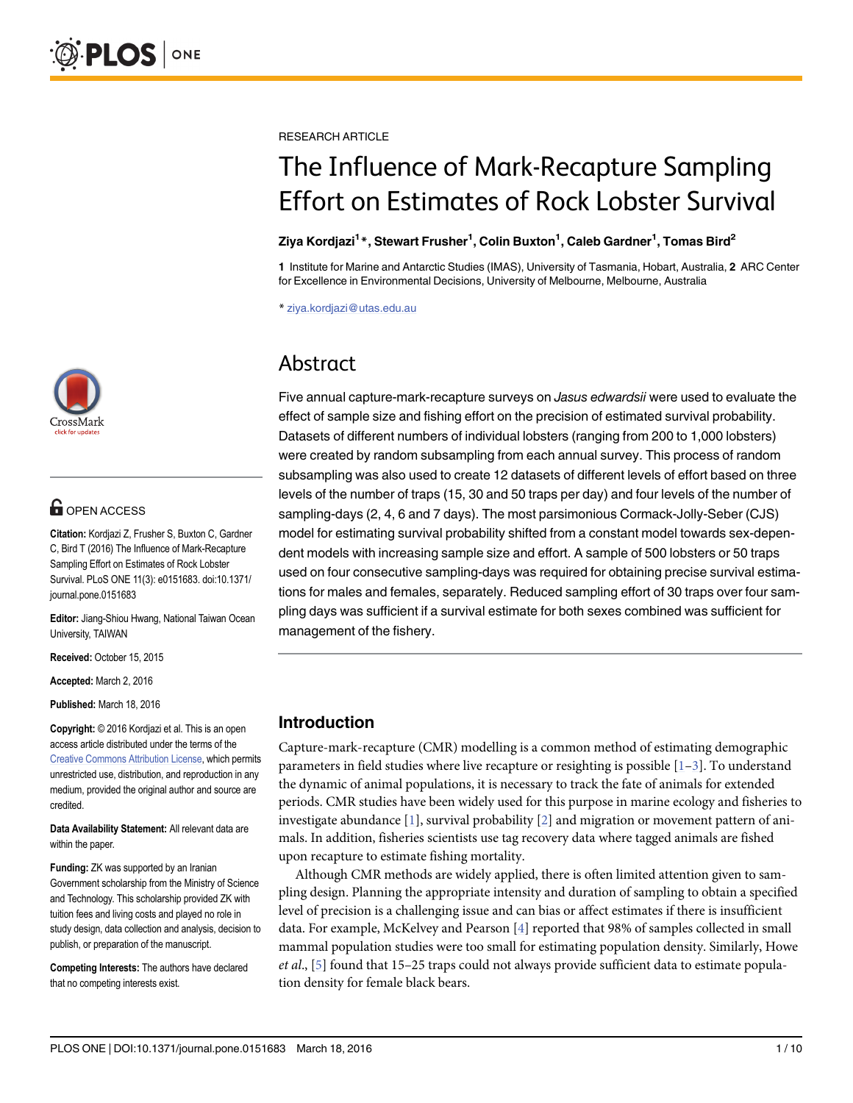

## **G** OPEN ACCESS

Citation: Kordjazi Z, Frusher S, Buxton C, Gardner C, Bird T (2016) The Influence of Mark-Recapture Sampling Effort on Estimates of Rock Lobster Survival. PLoS ONE 11(3): e0151683. doi:10.1371/ journal.pone.0151683

Editor: Jiang-Shiou Hwang, National Taiwan Ocean University, TAIWAN

Received: October 15, 2015

Accepted: March 2, 2016

Published: March 18, 2016

Copyright: © 2016 Kordjazi et al. This is an open access article distributed under the terms of the [Creative Commons Attribution License,](http://creativecommons.org/licenses/by/4.0/) which permits unrestricted use, distribution, and reproduction in any medium, provided the original author and source are credited.

Data Availability Statement: All relevant data are within the paper.

Funding: ZK was supported by an Iranian Government scholarship from the Ministry of Science and Technology. This scholarship provided ZK with tuition fees and living costs and played no role in study design, data collection and analysis, decision to publish, or preparation of the manuscript.

Competing Interests: The authors have declared that no competing interests exist.

<span id="page-0-0"></span>RESEARCH ARTICLE

# The Influence of Mark-Recapture Sampling

# Martin College Survival De College Survival De College Survival De College Survival De<br>2iya Kordjazi<sup>1</sup>\*, Stewart Frusher<sup>1</sup>, Colin Buxton<sup>1</sup>, Caleb Gardner<sup>1</sup>, Tomas Bird<sup>2</sup>

1 Institute for Marine and Antarctic Studies (IMAS), University of Tasmania, Hobart, Australia, 2 ARC Center for Excellence in Environmental Decisions, University of Melbourne, Melbourne, Australia

\* ziya.kordjazi@utas.edu.au

### Abstract

Abstract Five annual capture-mark-recapture surveys on Jasus edwardsii were used to evaluate the effect of sample size and fishing effort on the precision of estimated survival probability. Datasets of different numbers of individual lobsters (ranging from 200 to 1,000 lobsters) were created by random subsampling from each annual survey. This process of random subsampling was also used to create 12 datasets of different levels of effort based on three levels of the number of traps (15, 30 and 50 traps per day) and four levels of the number of sampling-days (2, 4, 6 and 7 days). The most parsimonious Cormack-Jolly-Seber (CJS) model for estimating survival probability shifted from a constant model towards sex-dependent models with increasing sample size and effort. A sample of 500 lobsters or 50 traps used on four consecutive sampling-days was required for obtaining precise survival estimations for males and females, separately. Reduced sampling effort of 30 traps over four sampling days was sufficient if a survival estimate for both sexes combined was sufficient for management of the fishery.

#### Introduction

Capture-mark-recapture (CMR) modelling is a common method of estimating demographic parameters in field studies where live recapture or resighting is possible  $[1-3]$  $[1-3]$  $[1-3]$  $[1-3]$ . To understand the dynamic of animal populations, it is necessary to track the fate of animals for extended periods. CMR studies have been widely used for this purpose in marine ecology and fisheries to investigate abundance [\[1](#page-7-0)], survival probability [[2](#page-8-0)] and migration or movement pattern of animals. In addition, fisheries scientists use tag recovery data where tagged animals are fished upon recapture to estimate fishing mortality.

Although CMR methods are widely applied, there is often limited attention given to sampling design. Planning the appropriate intensity and duration of sampling to obtain a specified level of precision is a challenging issue and can bias or affect estimates if there is insufficient data. For example, McKelvey and Pearson [[4\]](#page-8-0) reported that 98% of samples collected in small mammal population studies were too small for estimating population density. Similarly, Howe et al.,  $[5]$  $[5]$  found that 15–25 traps could not always provide sufficient data to estimate population density for female black bears.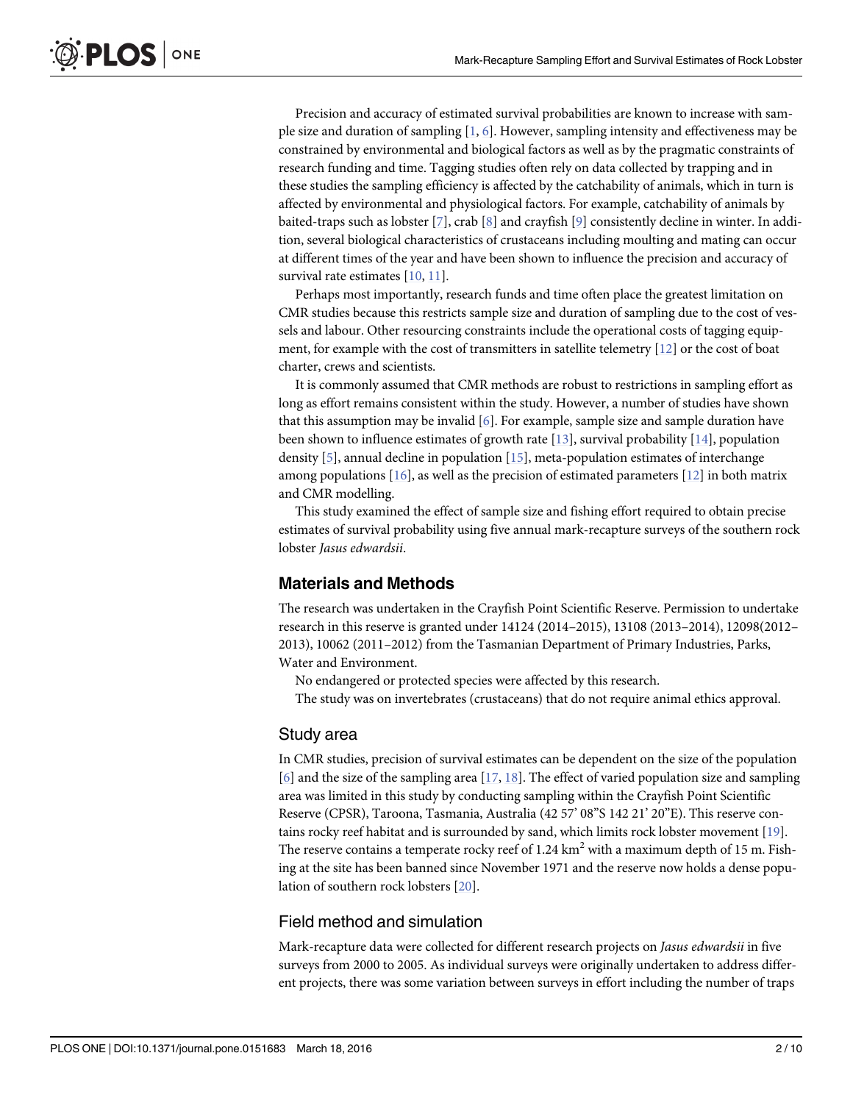<span id="page-1-0"></span>Precision and accuracy of estimated survival probabilities are known to increase with sample size and duration of sampling  $[1, 6]$  $[1, 6]$  $[1, 6]$  $[1, 6]$ . However, sampling intensity and effectiveness may be constrained by environmental and biological factors as well as by the pragmatic constraints of research funding and time. Tagging studies often rely on data collected by trapping and in these studies the sampling efficiency is affected by the catchability of animals, which in turn is affected by environmental and physiological factors. For example, catchability of animals by baited-traps such as lobster [\[7](#page-8-0)], crab [[8\]](#page-8-0) and crayfish [[9](#page-8-0)] consistently decline in winter. In addition, several biological characteristics of crustaceans including moulting and mating can occur at different times of the year and have been shown to influence the precision and accuracy of survival rate estimates [\[10,](#page-8-0) [11\]](#page-8-0).

Perhaps most importantly, research funds and time often place the greatest limitation on CMR studies because this restricts sample size and duration of sampling due to the cost of vessels and labour. Other resourcing constraints include the operational costs of tagging equipment, for example with the cost of transmitters in satellite telemetry [\[12\]](#page-8-0) or the cost of boat charter, crews and scientists.

It is commonly assumed that CMR methods are robust to restrictions in sampling effort as long as effort remains consistent within the study. However, a number of studies have shown that this assumption may be invalid  $[6]$  $[6]$ . For example, sample size and sample duration have been shown to influence estimates of growth rate [[13\]](#page-8-0), survival probability [[14\]](#page-8-0), population density  $[5]$  $[5]$ , annual decline in population  $[15]$ , meta-population estimates of interchange among populations  $[16]$  $[16]$  $[16]$ , as well as the precision of estimated parameters  $[12]$  $[12]$  $[12]$  in both matrix and CMR modelling.

This study examined the effect of sample size and fishing effort required to obtain precise estimates of survival probability using five annual mark-recapture surveys of the southern rock lobster Jasus edwardsii.

#### Materials and Methods

The research was undertaken in the Crayfish Point Scientific Reserve. Permission to undertake research in this reserve is granted under 14124 (2014–2015), 13108 (2013–2014), 12098(2012– 2013), 10062 (2011–2012) from the Tasmanian Department of Primary Industries, Parks, Water and Environment.

No endangered or protected species were affected by this research.

The study was on invertebrates (crustaceans) that do not require animal ethics approval.

#### Study area

In CMR studies, precision of survival estimates can be dependent on the size of the population [\[6](#page-8-0)] and the size of the sampling area  $[17, 18]$  $[17, 18]$  $[17, 18]$ . The effect of varied population size and sampling area was limited in this study by conducting sampling within the Crayfish Point Scientific Reserve (CPSR), Taroona, Tasmania, Australia (42 57' 08"S 142 21' 20"E). This reserve contains rocky reef habitat and is surrounded by sand, which limits rock lobster movement [\[19](#page-8-0)]. The reserve contains a temperate rocky reef of 1.24  $km<sup>2</sup>$  with a maximum depth of 15 m. Fishing at the site has been banned since November 1971 and the reserve now holds a dense population of southern rock lobsters [\[20\]](#page-8-0).

#### Field method and simulation

Mark-recapture data were collected for different research projects on Jasus edwardsii in five surveys from 2000 to 2005. As individual surveys were originally undertaken to address different projects, there was some variation between surveys in effort including the number of traps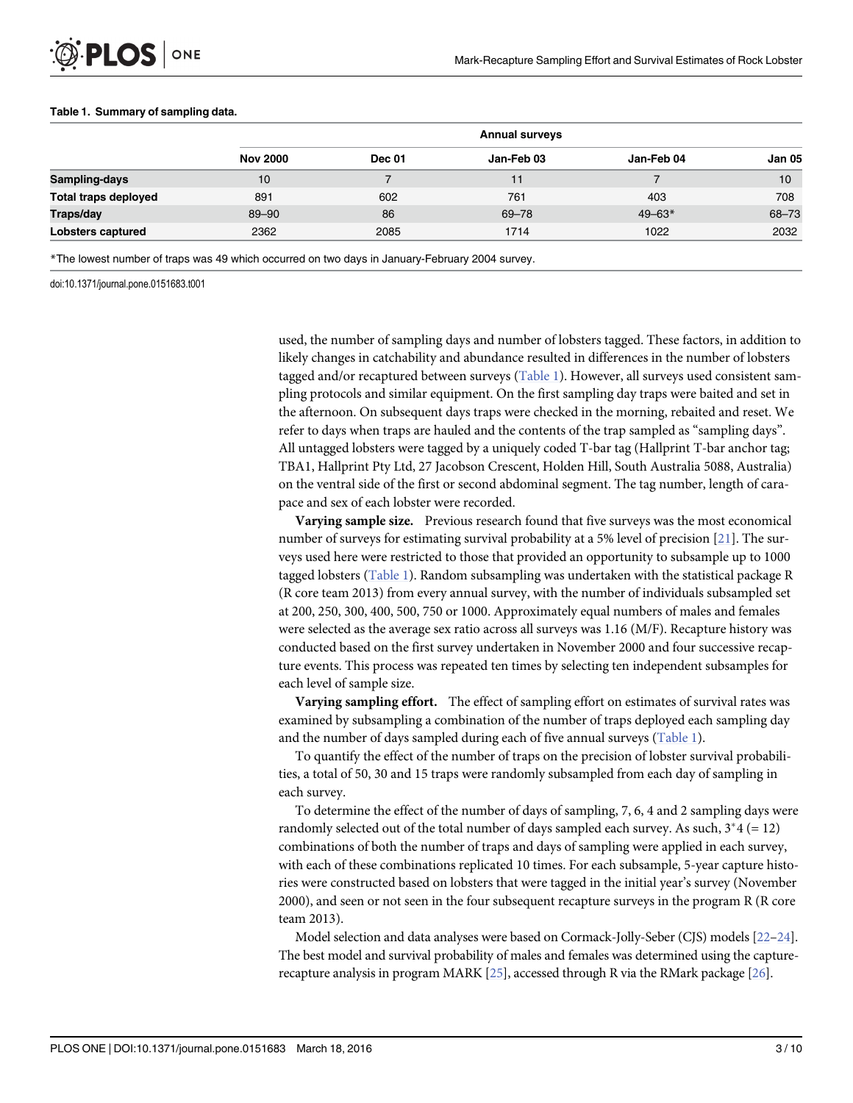|                             | <b>Annual surveys</b> |               |            |            |        |  |  |
|-----------------------------|-----------------------|---------------|------------|------------|--------|--|--|
|                             | <b>Nov 2000</b>       | <b>Dec 01</b> | Jan-Feb 03 | Jan-Feb 04 | Jan 05 |  |  |
| Sampling-days               | 10                    |               | 11         |            | 10     |  |  |
| <b>Total traps deployed</b> | 891                   | 602           | 761        | 403        | 708    |  |  |
| Traps/day                   | $89 - 90$             | 86            | 69-78      | $49 - 63*$ | 68-73  |  |  |
| Lobsters captured           | 2362                  | 2085          | 1714       | 1022       | 2032   |  |  |

#### <span id="page-2-0"></span>Table 1. Summary of sampling data.

\*The lowest number of traps was 49 which occurred on two days in January-February 2004 survey.

doi:10.1371/journal.pone.0151683.t001

used, the number of sampling days and number of lobsters tagged. These factors, in addition to likely changes in catchability and abundance resulted in differences in the number of lobsters tagged and/or recaptured between surveys (Table 1). However, all surveys used consistent sampling protocols and similar equipment. On the first sampling day traps were baited and set in the afternoon. On subsequent days traps were checked in the morning, rebaited and reset. We refer to days when traps are hauled and the contents of the trap sampled as "sampling days". All untagged lobsters were tagged by a uniquely coded T-bar tag (Hallprint T-bar anchor tag; TBA1, Hallprint Pty Ltd, 27 Jacobson Crescent, Holden Hill, South Australia 5088, Australia) on the ventral side of the first or second abdominal segment. The tag number, length of carapace and sex of each lobster were recorded.

Varying sample size. Previous research found that five surveys was the most economical number of surveys for estimating survival probability at a 5% level of precision [\[21](#page-8-0)]. The surveys used here were restricted to those that provided an opportunity to subsample up to 1000 tagged lobsters (Table 1). Random subsampling was undertaken with the statistical package R (R core team 2013) from every annual survey, with the number of individuals subsampled set at 200, 250, 300, 400, 500, 750 or 1000. Approximately equal numbers of males and females were selected as the average sex ratio across all surveys was 1.16 (M/F). Recapture history was conducted based on the first survey undertaken in November 2000 and four successive recapture events. This process was repeated ten times by selecting ten independent subsamples for each level of sample size.

**Varying sampling effort.** The effect of sampling effort on estimates of survival rates was examined by subsampling a combination of the number of traps deployed each sampling day and the number of days sampled during each of five annual surveys (Table 1).

To quantify the effect of the number of traps on the precision of lobster survival probabilities, a total of 50, 30 and 15 traps were randomly subsampled from each day of sampling in each survey.

To determine the effect of the number of days of sampling, 7, 6, 4 and 2 sampling days were randomly selected out of the total number of days sampled each survey. As such,  $3*4 (= 12)$ combinations of both the number of traps and days of sampling were applied in each survey, with each of these combinations replicated 10 times. For each subsample, 5-year capture histories were constructed based on lobsters that were tagged in the initial year's survey (November 2000), and seen or not seen in the four subsequent recapture surveys in the program R (R core team 2013).

Model selection and data analyses were based on Cormack-Jolly-Seber (CJS) models [[22](#page-8-0)–[24](#page-8-0)]. The best model and survival probability of males and females was determined using the capturerecapture analysis in program MARK [[25](#page-8-0)], accessed through R via the RMark package [\[26\]](#page-9-0).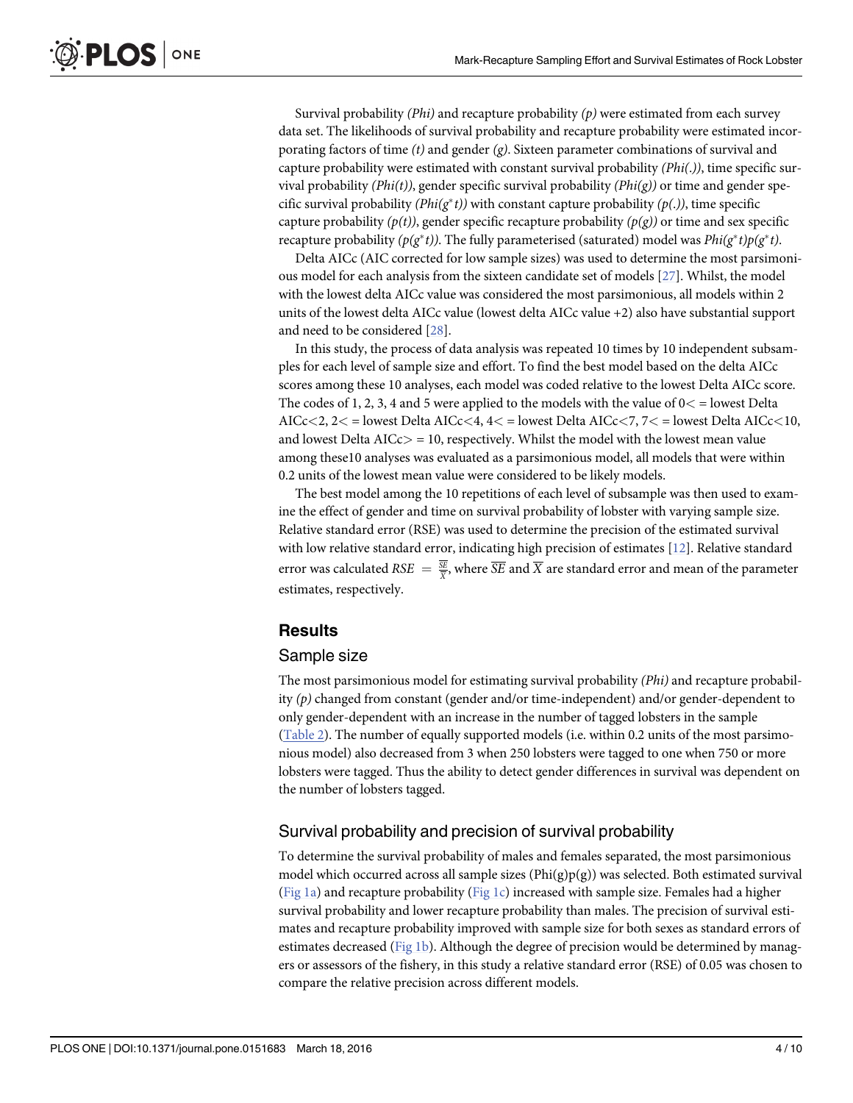<span id="page-3-0"></span>Survival probability  $(Phi)$  and recapture probability  $(p)$  were estimated from each survey data set. The likelihoods of survival probability and recapture probability were estimated incorporating factors of time  $(t)$  and gender  $(g)$ . Sixteen parameter combinations of survival and capture probability were estimated with constant survival probability (Phi(.)), time specific survival probability  $(Phi(t),$  gender specific survival probability  $(Phi(t),$  or time and gender specific survival probability ( $Phi(x^*t)$ ) with constant capture probability ( $p(.)$ ), time specific capture probability  $(p(t))$ , gender specific recapture probability  $(p(g))$  or time and sex specific recapture probability ( $p(g^*t)$ ). The fully parameterised (saturated) model was  $Phi(g^*t)p(g^*t)$ .

Delta AICc (AIC corrected for low sample sizes) was used to determine the most parsimonious model for each analysis from the sixteen candidate set of models [\[27](#page-9-0)]. Whilst, the model with the lowest delta AICc value was considered the most parsimonious, all models within 2 units of the lowest delta AICc value (lowest delta AICc value +2) also have substantial support and need to be considered [[28\]](#page-9-0).

In this study, the process of data analysis was repeated 10 times by 10 independent subsamples for each level of sample size and effort. To find the best model based on the delta AICc scores among these 10 analyses, each model was coded relative to the lowest Delta AICc score. The codes of 1, 2, 3, 4 and 5 were applied to the models with the value of  $0 <$  = lowest Delta AICc $<$ 2, 2 $<$  = lowest Delta AICc $<$ 4, 4 $<$  = lowest Delta AICc $<$ 7, 7 $<$  = lowest Delta AICc $<$ 10, and lowest Delta  $AICc$  = 10, respectively. Whilst the model with the lowest mean value among these10 analyses was evaluated as a parsimonious model, all models that were within 0.2 units of the lowest mean value were considered to be likely models.

The best model among the 10 repetitions of each level of subsample was then used to examine the effect of gender and time on survival probability of lobster with varying sample size. Relative standard error (RSE) was used to determine the precision of the estimated survival with low relative standard error, indicating high precision of estimates [[12](#page-8-0)]. Relative standard error was calculated RS $E\,=\,\frac{SE}{X}$ , where  $\overline{SE}$  and  $\overline{X}$  are standard error and mean of the parameter estimates, respectively.

#### **Results**

#### Sample size

The most parsimonious model for estimating survival probability (Phi) and recapture probability  $(p)$  changed from constant (gender and/or time-independent) and/or gender-dependent to only gender-dependent with an increase in the number of tagged lobsters in the sample [\(Table 2\)](#page-4-0). The number of equally supported models (i.e. within 0.2 units of the most parsimonious model) also decreased from 3 when 250 lobsters were tagged to one when 750 or more lobsters were tagged. Thus the ability to detect gender differences in survival was dependent on the number of lobsters tagged.

#### Survival probability and precision of survival probability

To determine the survival probability of males and females separated, the most parsimonious model which occurred across all sample sizes  $(Phi(g)p(g))$  was selected. Both estimated survival [\(Fig 1a](#page-4-0)) and recapture probability [\(Fig 1c\)](#page-4-0) increased with sample size. Females had a higher survival probability and lower recapture probability than males. The precision of survival estimates and recapture probability improved with sample size for both sexes as standard errors of estimates decreased [\(Fig 1b\)](#page-4-0). Although the degree of precision would be determined by managers or assessors of the fishery, in this study a relative standard error (RSE) of 0.05 was chosen to compare the relative precision across different models.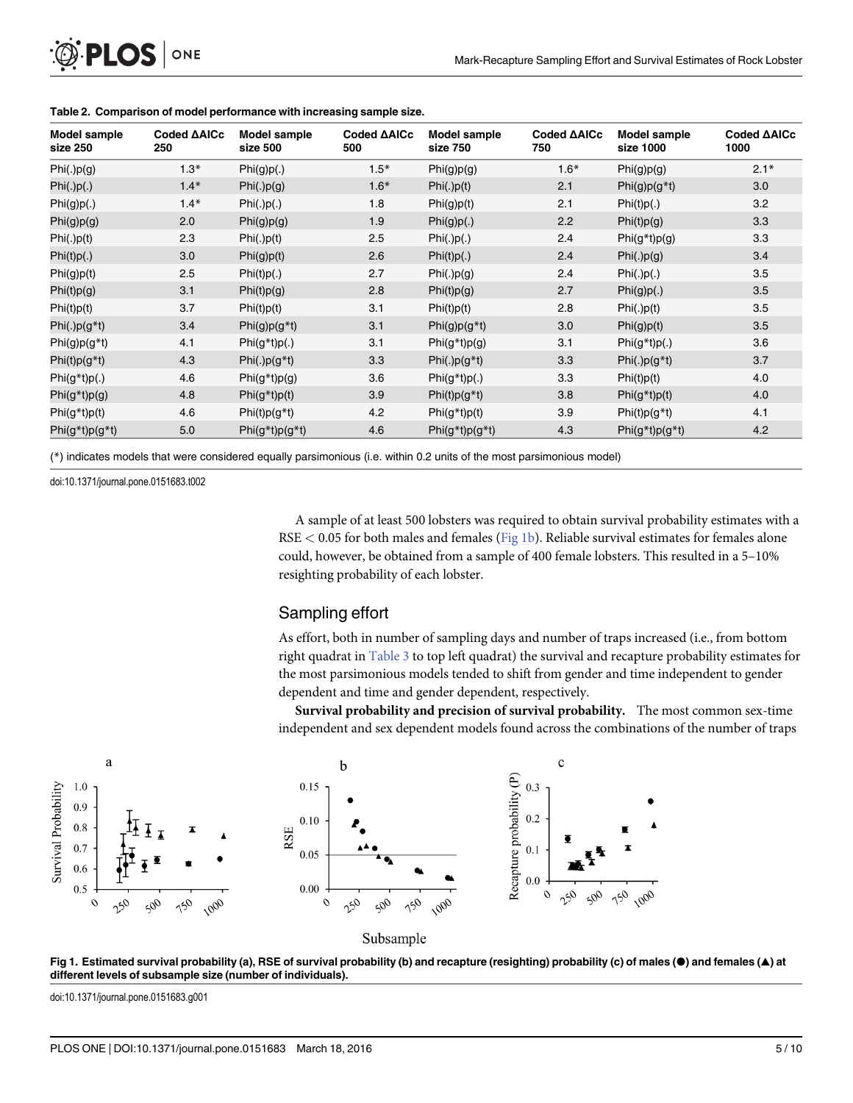| Model sample<br>size 250 | Coded AAICc<br>250 | Model sample<br>size 500 | Coded AAICc<br>500 | Model sample<br>size 750 | Coded <b>AAICc</b><br>750 | Model sample<br>size 1000 | Coded AAICc<br>1000 |
|--------------------------|--------------------|--------------------------|--------------------|--------------------------|---------------------------|---------------------------|---------------------|
| Phi(.)p(g)               | $1.3*$             | Phi(g)p(.)               | $1.5*$             | Phi(g)p(g)               | $1.6*$                    | Phi(g)p(g)                | $2.1*$              |
| Phi(.)p(.)               | $1.4*$             | Phi(.)p(g)               | $1.6*$             | Phi(.)p(t)               | 2.1                       | $Phi(g)p(g*t)$            | 3.0                 |
| Phi(g)p(.)               | $1.4*$             | Phi(.)p(.)               | 1.8                | Phi(g)p(t)               | 2.1                       | Phi(t)p(.)                | 3.2                 |
| Phi(g)p(g)               | 2.0                | Phi(g)p(g)               | 1.9                | Phi(g)p(.)               | 2.2                       | Phi(t)p(g)                | 3.3                 |
| Phi(.)p(t)               | 2.3                | Phi(.)p(t)               | 2.5                | Phi(.)p(.)               | 2.4                       | $Phi(g^*t)p(g)$           | 3.3                 |
| Phi(t)p(.)               | 3.0                | Phi(g)p(t)               | 2.6                | Phi(t)p(.)               | 2.4                       | Phi(.)p(g)                | 3.4                 |
| Phi(g)p(t)               | 2.5                | Phi(t)p(.)               | 2.7                | Phi(.)p(g)               | 2.4                       | Phi(.)p(.)                | 3.5                 |
| Phi(t)p(g)               | 3.1                | Phi(t)p(g)               | 2.8                | Phi(t)p(g)               | 2.7                       | Phi(g)p(.)                | 3.5                 |
| Phi(t)p(t)               | 3.7                | Phi(t)p(t)               | 3.1                | Phi(t)p(t)               | 2.8                       | Phi(.)p(t)                | 3.5                 |
| $Phi(.)p(g*t)$           | 3.4                | $Phi(g)p(g*t)$           | 3.1                | $Phi(g)p(g*t)$           | 3.0                       | Phi(g)p(t)                | 3.5                 |
| $Phi(g)p(g*t)$           | 4.1                | $Phi(g^*t)p(.)$          | 3.1                | $Phi(g^*t)p(g)$          | 3.1                       | $Phi(g^*t)p(.)$           | 3.6                 |
| $Phi(t)p(g*t)$           | 4.3                | $Phi(.)p(g*t)$           | 3.3                | $Phi(.)p(g*t)$           | 3.3                       | $Phi(.)p(q*t)$            | 3.7                 |
| $Phi(g^*t)p(.)$          | 4.6                | $Phi(g^*t)p(g)$          | 3.6                | $Phi(g^*t)p(.)$          | 3.3                       | Phi(t)p(t)                | 4.0                 |
| $Phi(g^*t)p(g)$          | 4.8                | $Phi(g^*t)p(t)$          | 3.9                | $Phi(t)p(g*t)$           | 3.8                       | $Phi(g^*t)p(t)$           | 4.0                 |
| Phi(g*t)p(t)             | 4.6                | $Phi(t)p(g*t)$           | 4.2                | $Phi(g^*t)p(t)$          | 3.9                       | $Phi(t)p(g*t)$            | 4.1                 |
| $Phi(g^*t)p(g^*t)$       | 5.0                | $Phi(g^*t)p(g^*t)$       | 4.6                | $Phi(g^*t)p(g^*t)$       | 4.3                       | $Phi(g^*t)p(g^*t)$        | 4.2                 |

#### <span id="page-4-0"></span>[Table 2.](#page-3-0) Comparison of model performance with increasing sample size.

(\*) indicates models that were considered equally parsimonious (i.e. within 0.2 units of the most parsimonious model)

doi:10.1371/journal.pone.0151683.t002

A sample of at least 500 lobsters was required to obtain survival probability estimates with a  $RSE < 0.05$  for both males and females (Fig 1b). Reliable survival estimates for females alone could, however, be obtained from a sample of 400 female lobsters. This resulted in a 5–10% resighting probability of each lobster.

#### Sampling effort

As effort, both in number of sampling days and number of traps increased (i.e., from bottom right quadrat in [Table 3](#page-5-0) to top left quadrat) the survival and recapture probability estimates for the most parsimonious models tended to shift from gender and time independent to gender dependent and time and gender dependent, respectively.

Survival probability and precision of survival probability. The most common sex-time independent and sex dependent models found across the combinations of the number of traps







[Fig 1. E](#page-3-0)stimated survival probability (a), RSE of survival probability (b) and recapture (resighting) probability (c) of males (●) and females (▲) at different levels of subsample size (number of individuals).

doi:10.1371/journal.pone.0151683.g001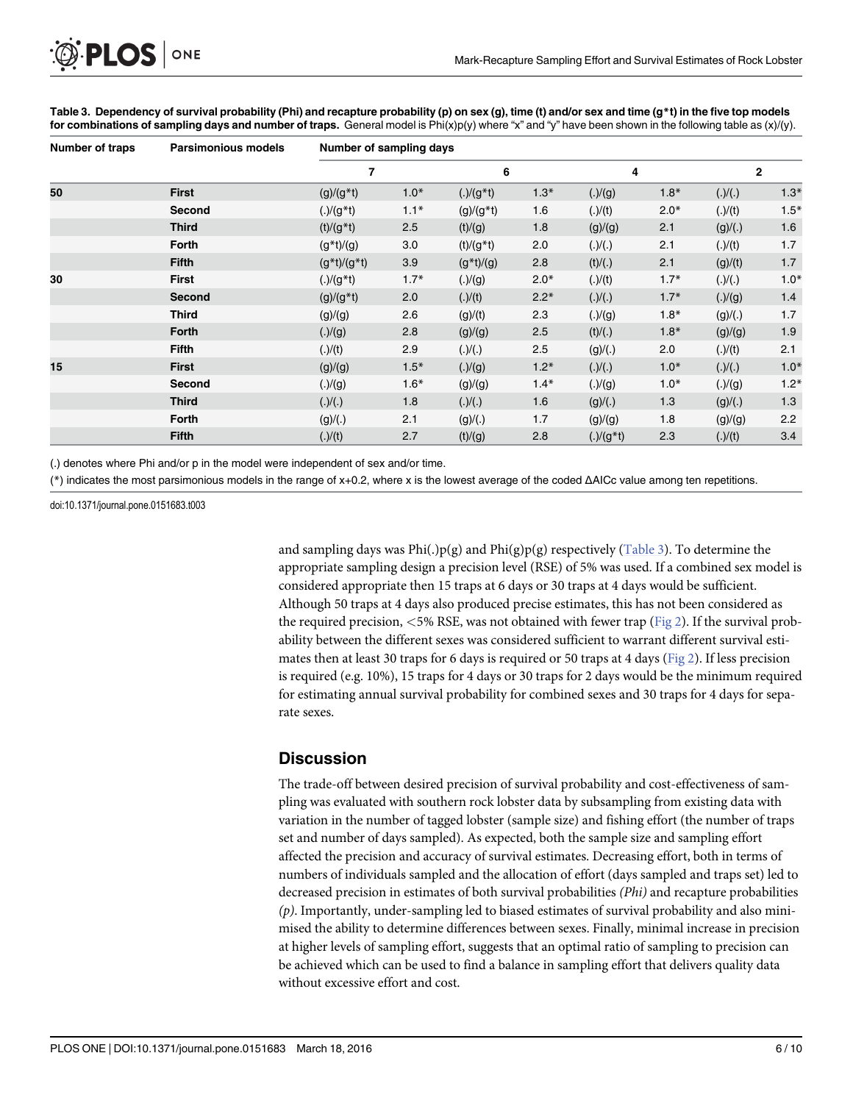<span id="page-5-0"></span>

| <b>Number of traps</b><br>50 | <b>Parsimonious models</b><br><b>First</b> | Number of sampling days |        |                 |        |              |        |         |              |  |
|------------------------------|--------------------------------------------|-------------------------|--------|-----------------|--------|--------------|--------|---------|--------------|--|
|                              |                                            | 7                       |        | 6               |        |              | 4      |         | $\mathbf{2}$ |  |
|                              |                                            | $(g)/(g^*t)$            | $1.0*$ | $(.)/(g*t)$     | $1.3*$ | (.)/(g)      | $1.8*$ | (.)/(.) | $1.3*$       |  |
|                              | Second                                     | $(.)/(g*t)$             | $1.1*$ | $(g)/(g * t)$   | 1.6    | (.)/(t)      | $2.0*$ | (.)/(t) | $1.5*$       |  |
|                              | <b>Third</b>                               | $(t)/(g*t)$             | 2.5    | (t)/(g)         | 1.8    | (g)/(g)      | 2.1    | (g)/(.) | 1.6          |  |
|                              | Forth                                      | $(g * t) / (g)$         | 3.0    | $(t)/(g * t)$   | 2.0    | (.)/(.)      | 2.1    | (.)/(t) | 1.7          |  |
|                              | <b>Fifth</b>                               | $(g^*t)/(g^*t)$         | 3.9    | $(g * t) / (g)$ | 2.8    | (t)/(.)      | 2.1    | (g)/(t) | 1.7          |  |
| 30                           | <b>First</b>                               | $(.)/(g*t)$             | $1.7*$ | (.)/(g)         | $2.0*$ | (.)/(t)      | $1.7*$ | (.)/(.) | $1.0*$       |  |
|                              | <b>Second</b>                              | $(g)/(g^*t)$            | 2.0    | (.)/(t)         | $2.2*$ | (.)/(.)      | $1.7*$ | (.)/(g) | 1.4          |  |
|                              | <b>Third</b>                               | (g)/(g)                 | 2.6    | (g)/(t)         | 2.3    | (.)/(g)      | $1.8*$ | (g)/(.) | 1.7          |  |
|                              | Forth                                      | (.)/(g)                 | 2.8    | (g)/(g)         | 2.5    | (t)/(.)      | $1.8*$ | (g)/(g) | 1.9          |  |
|                              | <b>Fifth</b>                               | (.)/(t)                 | 2.9    | (.)/(.)         | 2.5    | (g)/(.)      | 2.0    | (.)/(t) | 2.1          |  |
| 15                           | <b>First</b>                               | (g)/(g)                 | $1.5*$ | (.)/(g)         | $1.2*$ | (.)/(.)      | $1.0*$ | (.)/(.) | $1.0*$       |  |
|                              | Second                                     | (.)/(g)                 | $1.6*$ | (g)/(g)         | $1.4*$ | (.)/(g)      | $1.0*$ | (.)/(g) | $1.2*$       |  |
|                              | <b>Third</b>                               | (.)/(.)                 | 1.8    | (.)/(.)         | 1.6    | (g)/(.)      | 1.3    | (g)/(.) | 1.3          |  |
|                              | Forth                                      | (g)/(.)                 | 2.1    | (g)/(.)         | 1.7    | (g)/(g)      | 1.8    | (g)/(g) | 2.2          |  |
|                              | <b>Fifth</b>                               | (.)/(t)                 | 2.7    | (t)/(g)         | 2.8    | $(.)/(g^*t)$ | 2.3    | (.)/(t) | 3.4          |  |

[Table 3.](#page-4-0) Dependency of survival probability (Phi) and recapture probability (p) on sex (g), time (t) and/or sex and time (g\*t) in the five top models for combinations of sampling days and number of traps. General model is  $Phi(x)p(y)$  where "x" and "y" have been shown in the following table as  $(x)/(y)$ .

(.) denotes where Phi and/or p in the model were independent of sex and/or time.

(\*) indicates the most parsimonious models in the range of x+0.2, where x is the lowest average of the coded ΔAICc value among ten repetitions.

doi:10.1371/journal.pone.0151683.t003

and sampling days was Phi(.)p(g) and Phi(g)p(g) respectively (Table 3). To determine the appropriate sampling design a precision level (RSE) of 5% was used. If a combined sex model is considered appropriate then 15 traps at 6 days or 30 traps at 4 days would be sufficient. Although 50 traps at 4 days also produced precise estimates, this has not been considered as the required precision,  $<5\%$  RSE, was not obtained with fewer trap ([Fig 2](#page-6-0)). If the survival probability between the different sexes was considered sufficient to warrant different survival estimates then at least 30 traps for 6 days is required or 50 traps at 4 days ( $Fig 2$ ). If less precision is required (e.g. 10%), 15 traps for 4 days or 30 traps for 2 days would be the minimum required for estimating annual survival probability for combined sexes and 30 traps for 4 days for separate sexes.

#### **Discussion**

The trade-off between desired precision of survival probability and cost-effectiveness of sampling was evaluated with southern rock lobster data by subsampling from existing data with variation in the number of tagged lobster (sample size) and fishing effort (the number of traps set and number of days sampled). As expected, both the sample size and sampling effort affected the precision and accuracy of survival estimates. Decreasing effort, both in terms of numbers of individuals sampled and the allocation of effort (days sampled and traps set) led to decreased precision in estimates of both survival probabilities (Phi) and recapture probabilities (p). Importantly, under-sampling led to biased estimates of survival probability and also minimised the ability to determine differences between sexes. Finally, minimal increase in precision at higher levels of sampling effort, suggests that an optimal ratio of sampling to precision can be achieved which can be used to find a balance in sampling effort that delivers quality data without excessive effort and cost.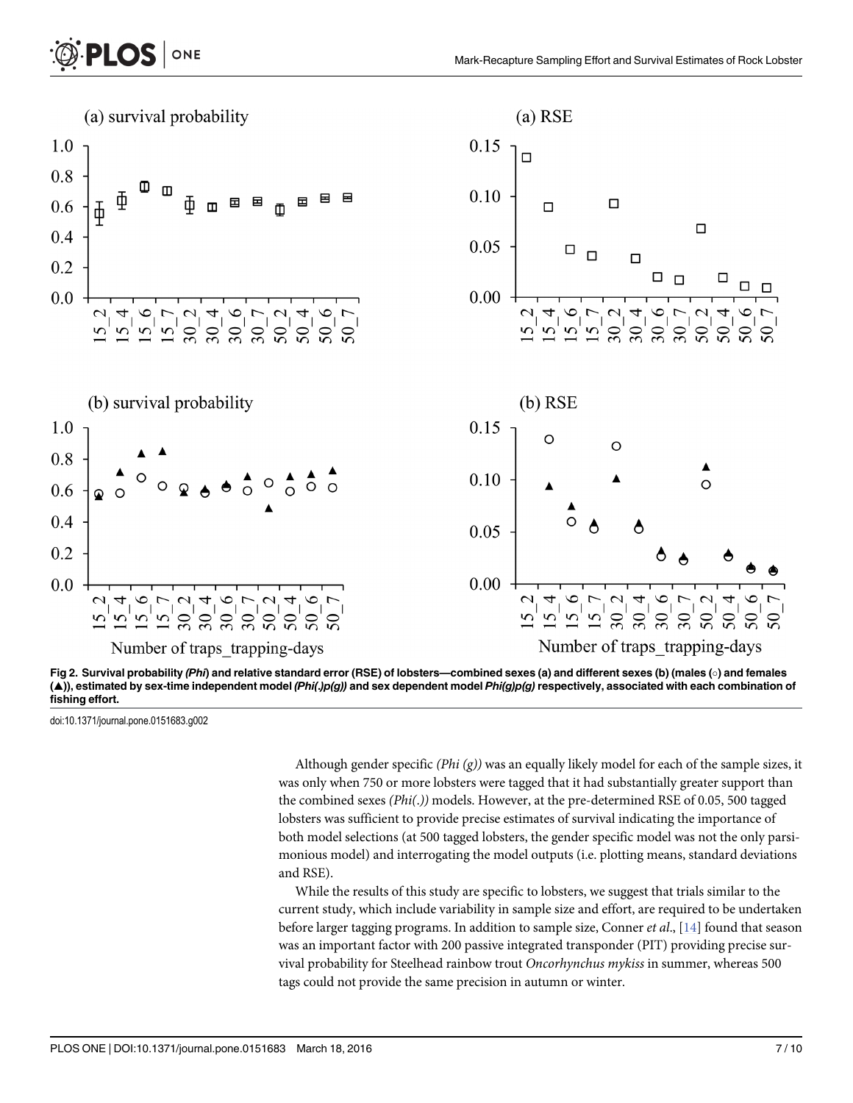<span id="page-6-0"></span>

[Fig 2. S](#page-5-0)urvival probability (Phi) and relative standard error (RSE) of lobsters—combined sexes (a) and different sexes (b) (males (o) and females (▲)), estimated by sex-time independent model (Phi(.)p(g)) and sex dependent model Phi(g)p(g) respectively, associated with each combination of fishing effort.

doi:10.1371/journal.pone.0151683.g002

Although gender specific ( $Phi(g)$ ) was an equally likely model for each of the sample sizes, it was only when 750 or more lobsters were tagged that it had substantially greater support than the combined sexes (Phi(.)) models. However, at the pre-determined RSE of 0.05, 500 tagged lobsters was sufficient to provide precise estimates of survival indicating the importance of both model selections (at 500 tagged lobsters, the gender specific model was not the only parsimonious model) and interrogating the model outputs (i.e. plotting means, standard deviations and RSE).

While the results of this study are specific to lobsters, we suggest that trials similar to the current study, which include variability in sample size and effort, are required to be undertaken before larger tagging programs. In addition to sample size, Conner *et al.*,  $[14]$  $[14]$  $[14]$  found that season was an important factor with 200 passive integrated transponder (PIT) providing precise survival probability for Steelhead rainbow trout Oncorhynchus mykiss in summer, whereas 500 tags could not provide the same precision in autumn or winter.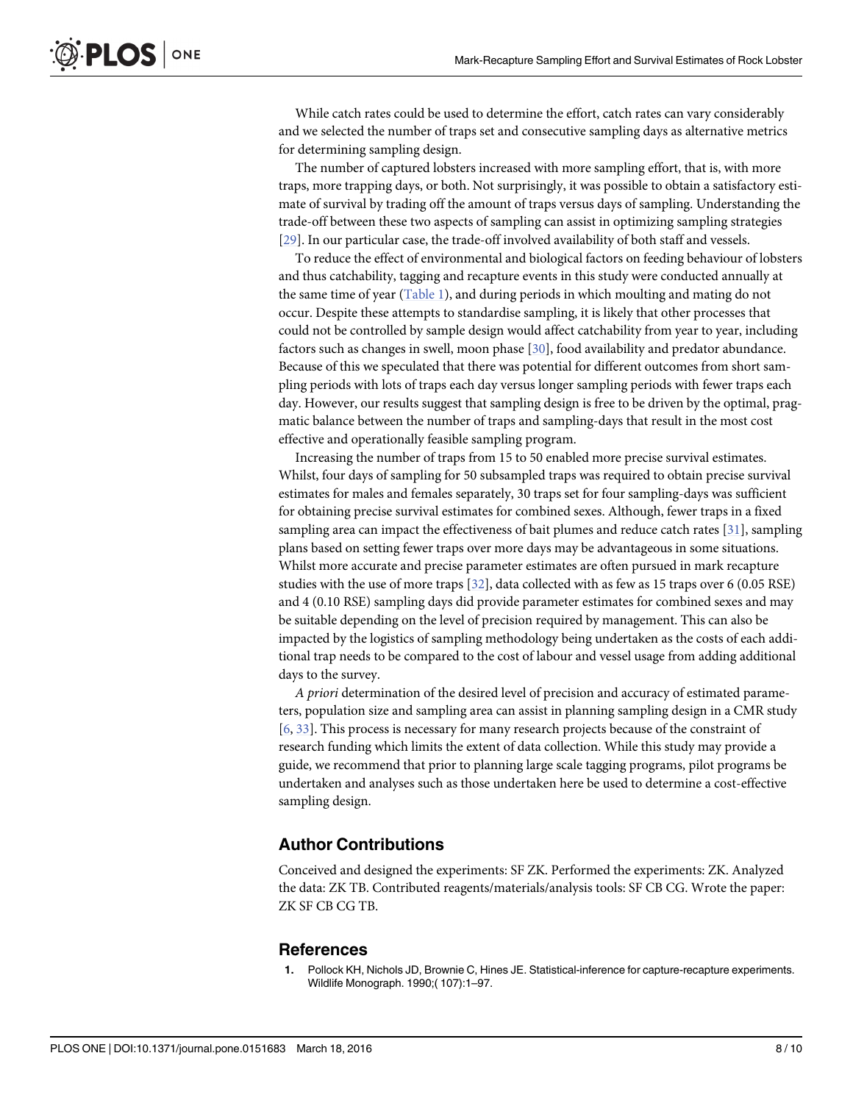<span id="page-7-0"></span>While catch rates could be used to determine the effort, catch rates can vary considerably and we selected the number of traps set and consecutive sampling days as alternative metrics for determining sampling design.

The number of captured lobsters increased with more sampling effort, that is, with more traps, more trapping days, or both. Not surprisingly, it was possible to obtain a satisfactory estimate of survival by trading off the amount of traps versus days of sampling. Understanding the trade-off between these two aspects of sampling can assist in optimizing sampling strategies [\[29](#page-9-0)]. In our particular case, the trade-off involved availability of both staff and vessels.

To reduce the effect of environmental and biological factors on feeding behaviour of lobsters and thus catchability, tagging and recapture events in this study were conducted annually at the same time of year ([Table 1](#page-2-0)), and during periods in which moulting and mating do not occur. Despite these attempts to standardise sampling, it is likely that other processes that could not be controlled by sample design would affect catchability from year to year, including factors such as changes in swell, moon phase [\[30\]](#page-9-0), food availability and predator abundance. Because of this we speculated that there was potential for different outcomes from short sampling periods with lots of traps each day versus longer sampling periods with fewer traps each day. However, our results suggest that sampling design is free to be driven by the optimal, pragmatic balance between the number of traps and sampling-days that result in the most cost effective and operationally feasible sampling program.

Increasing the number of traps from 15 to 50 enabled more precise survival estimates. Whilst, four days of sampling for 50 subsampled traps was required to obtain precise survival estimates for males and females separately, 30 traps set for four sampling-days was sufficient for obtaining precise survival estimates for combined sexes. Although, fewer traps in a fixed sampling area can impact the effectiveness of bait plumes and reduce catch rates  $[31]$ , sampling plans based on setting fewer traps over more days may be advantageous in some situations. Whilst more accurate and precise parameter estimates are often pursued in mark recapture studies with the use of more traps [\[32](#page-9-0)], data collected with as few as 15 traps over 6 (0.05 RSE) and 4 (0.10 RSE) sampling days did provide parameter estimates for combined sexes and may be suitable depending on the level of precision required by management. This can also be impacted by the logistics of sampling methodology being undertaken as the costs of each additional trap needs to be compared to the cost of labour and vessel usage from adding additional days to the survey.

A priori determination of the desired level of precision and accuracy of estimated parameters, population size and sampling area can assist in planning sampling design in a CMR study [\[6](#page-8-0), [33](#page-9-0)]. This process is necessary for many research projects because of the constraint of research funding which limits the extent of data collection. While this study may provide a guide, we recommend that prior to planning large scale tagging programs, pilot programs be undertaken and analyses such as those undertaken here be used to determine a cost-effective sampling design.

#### Author Contributions

Conceived and designed the experiments: SF ZK. Performed the experiments: ZK. Analyzed the data: ZK TB. Contributed reagents/materials/analysis tools: SF CB CG. Wrote the paper: ZK SF CB CG TB.

#### **References**

[1.](#page-0-0) Pollock KH, Nichols JD, Brownie C, Hines JE. Statistical-inference for capture-recapture experiments. Wildlife Monograph. 1990;( 107):1–97.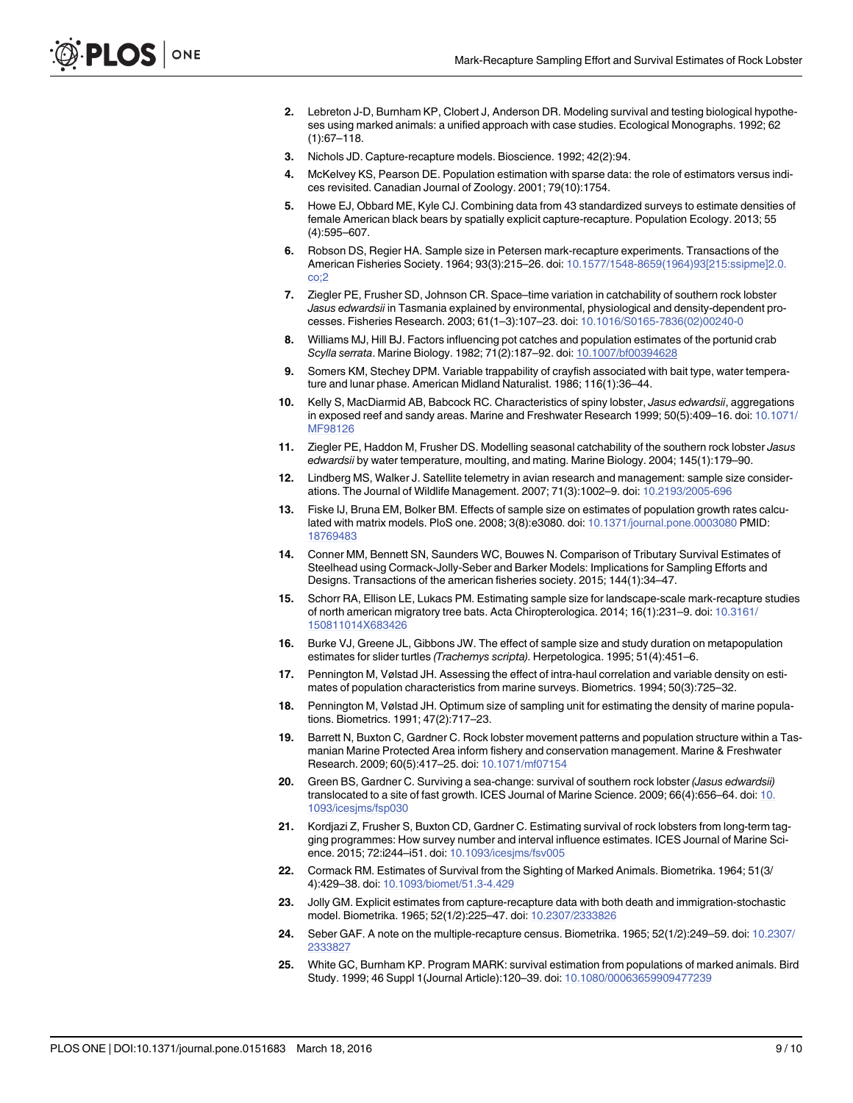- <span id="page-8-0"></span>[2.](#page-0-0) Lebreton J-D, Burnham KP, Clobert J, Anderson DR. Modeling survival and testing biological hypotheses using marked animals: a unified approach with case studies. Ecological Monographs. 1992; 62  $(1):67-118.$
- [3.](#page-0-0) Nichols JD. Capture-recapture models. Bioscience. 1992; 42(2):94.
- [4.](#page-0-0) McKelvey KS, Pearson DE. Population estimation with sparse data: the role of estimators versus indices revisited. Canadian Journal of Zoology. 2001; 79(10):1754.
- [5.](#page-0-0) Howe EJ, Obbard ME, Kyle CJ. Combining data from 43 standardized surveys to estimate densities of female American black bears by spatially explicit capture-recapture. Population Ecology. 2013; 55 (4):595–607.
- [6.](#page-1-0) Robson DS, Regier HA. Sample size in Petersen mark-recapture experiments. Transactions of the American Fisheries Society. 1964; 93(3):215–26. doi: [10.1577/1548-8659\(1964\)93\[215:ssipme\]2.0.](http://dx.doi.org/10.1577/1548-8659(1964)93[215:ssipme]2.0.co;2) [co;2](http://dx.doi.org/10.1577/1548-8659(1964)93[215:ssipme]2.0.co;2)
- [7.](#page-1-0) Ziegler PE, Frusher SD, Johnson CR. Space–time variation in catchability of southern rock lobster Jasus edwardsii in Tasmania explained by environmental, physiological and density-dependent processes. Fisheries Research. 2003; 61(1–3):107–23. doi: [10.1016/S0165-7836\(02\)00240-0](http://dx.doi.org/10.1016/S0165-7836(02)00240-0)
- [8.](#page-1-0) Williams MJ, Hill BJ. Factors influencing pot catches and population estimates of the portunid crab Scylla serrata. Marine Biology. 1982; 71(2):187–92. doi: [10.1007/bf00394628](http://dx.doi.org/10.1007/bf00394628)
- [9.](#page-1-0) Somers KM, Stechey DPM. Variable trappability of crayfish associated with bait type, water temperature and lunar phase. American Midland Naturalist. 1986; 116(1):36–44.
- [10.](#page-1-0) Kelly S, MacDiarmid AB, Babcock RC. Characteristics of spiny lobster, Jasus edwardsii, aggregations in exposed reef and sandy areas. Marine and Freshwater Research 1999; 50(5):409–16. doi: [10.1071/](http://dx.doi.org/10.1071/MF98126) [MF98126](http://dx.doi.org/10.1071/MF98126)
- [11.](#page-1-0) Ziegler PE, Haddon M, Frusher DS. Modelling seasonal catchability of the southern rock lobster Jasus edwardsii by water temperature, moulting, and mating. Marine Biology. 2004; 145(1):179–90.
- [12.](#page-1-0) Lindberg MS, Walker J. Satellite telemetry in avian research and management: sample size considerations. The Journal of Wildlife Management. 2007; 71(3):1002–9. doi: [10.2193/2005-696](http://dx.doi.org/10.2193/2005-696)
- [13.](#page-1-0) Fiske IJ, Bruna EM, Bolker BM. Effects of sample size on estimates of population growth rates calcu-lated with matrix models. PloS one. 2008; 3(8):e3080. doi: [10.1371/journal.pone.0003080](http://dx.doi.org/10.1371/journal.pone.0003080) PMID: [18769483](http://www.ncbi.nlm.nih.gov/pubmed/18769483)
- [14.](#page-1-0) Conner MM, Bennett SN, Saunders WC, Bouwes N. Comparison of Tributary Survival Estimates of Steelhead using Cormack-Jolly-Seber and Barker Models: Implications for Sampling Efforts and Designs. Transactions of the american fisheries society. 2015; 144(1):34–47.
- [15.](#page-1-0) Schorr RA, Ellison LE, Lukacs PM. Estimating sample size for landscape-scale mark-recapture studies of north american migratory tree bats. Acta Chiropterologica. 2014; 16(1):231–9. doi: [10.3161/](http://dx.doi.org/10.3161/150811014X683426) [150811014X683426](http://dx.doi.org/10.3161/150811014X683426)
- [16.](#page-1-0) Burke VJ, Greene JL, Gibbons JW. The effect of sample size and study duration on metapopulation estimates for slider turtles (Trachemys scripta). Herpetologica. 1995; 51(4):451–6.
- [17.](#page-1-0) Pennington M, Vølstad JH. Assessing the effect of intra-haul correlation and variable density on estimates of population characteristics from marine surveys. Biometrics. 1994; 50(3):725–32.
- [18.](#page-1-0) Pennington M, Vølstad JH. Optimum size of sampling unit for estimating the density of marine populations. Biometrics. 1991; 47(2):717–23.
- [19.](#page-1-0) Barrett N, Buxton C, Gardner C. Rock lobster movement patterns and population structure within a Tasmanian Marine Protected Area inform fishery and conservation management. Marine & Freshwater Research. 2009; 60(5):417–25. doi: [10.1071/mf07154](http://dx.doi.org/10.1071/mf07154)
- [20.](#page-1-0) Green BS, Gardner C. Surviving a sea-change: survival of southern rock lobster (Jasus edwardsii) translocated to a site of fast growth. ICES Journal of Marine Science. 2009; 66(4):656–64. doi: [10.](http://dx.doi.org/10.1093/icesjms/fsp030) [1093/icesjms/fsp030](http://dx.doi.org/10.1093/icesjms/fsp030)
- [21.](#page-2-0) Kordjazi Z, Frusher S, Buxton CD, Gardner C. Estimating survival of rock lobsters from long-term tagging programmes: How survey number and interval influence estimates. ICES Journal of Marine Science. 2015; 72:i244–i51. doi: [10.1093/icesjms/fsv005](http://dx.doi.org/10.1093/icesjms/fsv005)
- [22.](#page-2-0) Cormack RM. Estimates of Survival from the Sighting of Marked Animals. Biometrika. 1964; 51(3/ 4):429–38. doi: [10.1093/biomet/51.3-4.429](http://dx.doi.org/10.1093/biomet/51.3-4.429)
- 23. Jolly GM. Explicit estimates from capture-recapture data with both death and immigration-stochastic model. Biometrika. 1965; 52(1/2):225–47. doi: [10.2307/2333826](http://dx.doi.org/10.2307/2333826)
- [24.](#page-2-0) Seber GAF. A note on the multiple-recapture census. Biometrika. 1965; 52(1/2):249–59. doi: [10.2307/](http://dx.doi.org/10.2307/2333827) [2333827](http://dx.doi.org/10.2307/2333827)
- [25.](#page-2-0) White GC, Burnham KP. Program MARK: survival estimation from populations of marked animals. Bird Study. 1999; 46 Suppl 1(Journal Article):120–39. doi: [10.1080/00063659909477239](http://dx.doi.org/10.1080/00063659909477239)